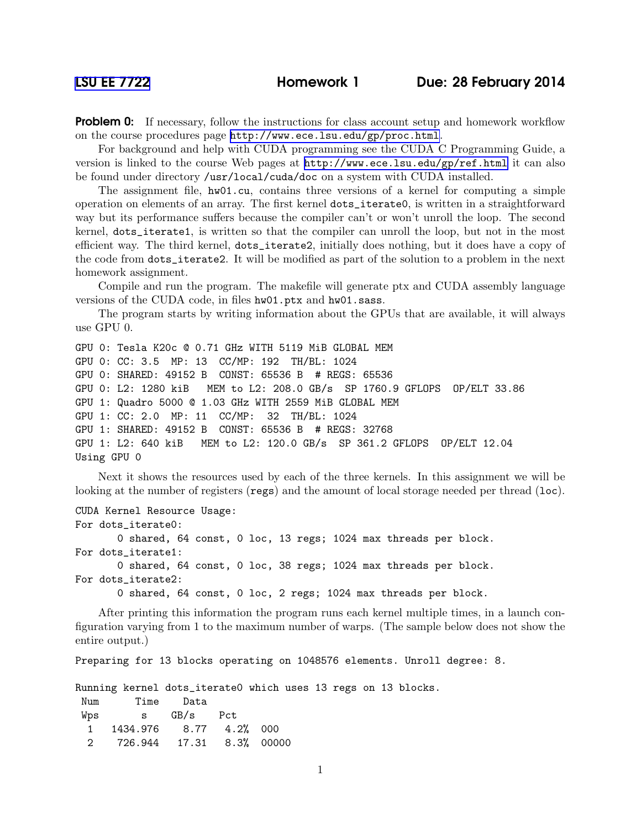**Problem 0:** If necessary, follow the instructions for class account setup and homework workflow on the course procedures page <http://www.ece.lsu.edu/gp/proc.html>.

For background and help with CUDA programming see the CUDA C Programming Guide, a version is linked to the course Web pages at <http://www.ece.lsu.edu/gp/ref.html> it can also be found under directory /usr/local/cuda/doc on a system with CUDA installed.

The assignment file,  $hw01.cu$ , contains three versions of a kernel for computing a simple operation on elements of an array. The first kernel dots\_iterate0, is written in a straightforward way but its performance suffers because the compiler can't or won't unroll the loop. The second kernel, dots\_iterate1, is written so that the compiler can unroll the loop, but not in the most efficient way. The third kernel, dots\_iterate2, initially does nothing, but it does have a copy of the code from dots\_iterate2. It will be modified as part of the solution to a problem in the next homework assignment.

Compile and run the program. The makefile will generate ptx and CUDA assembly language versions of the CUDA code, in files hw01.ptx and hw01.sass.

The program starts by writing information about the GPUs that are available, it will always use GPU 0.

```
GPU 0: Tesla K20c @ 0.71 GHz WITH 5119 MiB GLOBAL MEM
GPU 0: CC: 3.5 MP: 13 CC/MP: 192 TH/BL: 1024
GPU 0: SHARED: 49152 B CONST: 65536 B # REGS: 65536
GPU 0: L2: 1280 kiB MEM to L2: 208.0 GB/s SP 1760.9 GFLOPS OP/ELT 33.86
GPU 1: Quadro 5000 @ 1.03 GHz WITH 2559 MiB GLOBAL MEM
GPU 1: CC: 2.0 MP: 11 CC/MP: 32 TH/BL: 1024
GPU 1: SHARED: 49152 B CONST: 65536 B # REGS: 32768
GPU 1: L2: 640 kiB MEM to L2: 120.0 GB/s SP 361.2 GFLOPS OP/ELT 12.04
Using GPU 0
```
Next it shows the resources used by each of the three kernels. In this assignment we will be looking at the number of registers (regs) and the amount of local storage needed per thread (loc).

```
CUDA Kernel Resource Usage:
For dots_iterate0:
       0 shared, 64 const, 0 loc, 13 regs; 1024 max threads per block.
For dots_iterate1:
       0 shared, 64 const, 0 loc, 38 regs; 1024 max threads per block.
```
For dots\_iterate2:

0 shared, 64 const, 0 loc, 2 regs; 1024 max threads per block.

After printing this information the program runs each kernel multiple times, in a launch configuration varying from 1 to the maximum number of warps. (The sample below does not show the entire output.)

Preparing for 13 blocks operating on 1048576 elements. Unroll degree: 8.

Running kernel dots\_iterate0 which uses 13 regs on 13 blocks. Num Time Data

| Wps | S                          | GB/s Pct |  |
|-----|----------------------------|----------|--|
|     | 1 1434.976 8.77 4.2% 000   |          |  |
|     | 2 726.944 17.31 8.3% 00000 |          |  |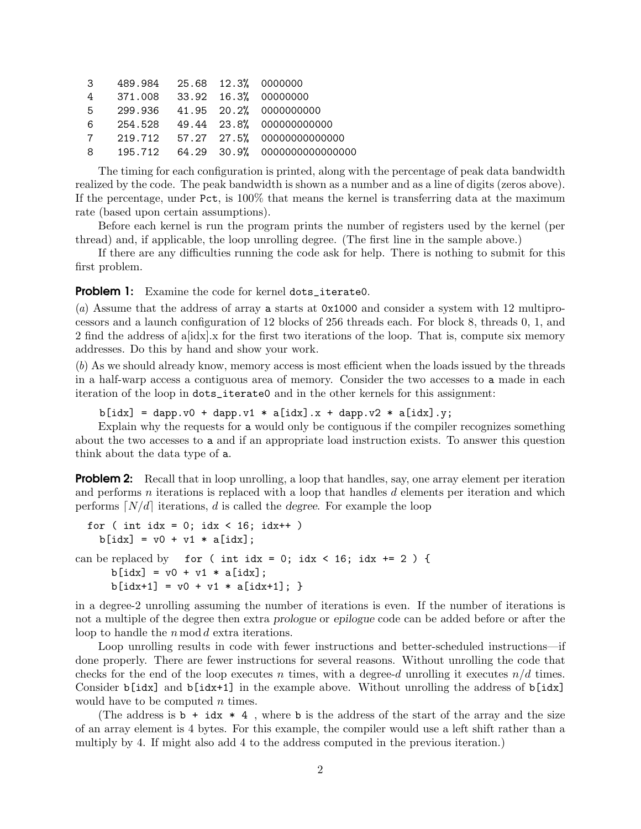| 3 489.984 25.68 12.3% 0000000  |  |                                        |
|--------------------------------|--|----------------------------------------|
| 4 371.008 33.92 16.3% 00000000 |  |                                        |
|                                |  | 5 299.936 41.95 20.2% 0000000000       |
|                                |  | 6 254.528 49.44 23.8% 000000000000     |
|                                |  | 7 219.712 57.27 27.5% 00000000000000   |
|                                |  | 8 195.712 64.29 30.9% 0000000000000000 |

The timing for each configuration is printed, along with the percentage of peak data bandwidth realized by the code. The peak bandwidth is shown as a number and as a line of digits (zeros above). If the percentage, under Pct, is  $100\%$  that means the kernel is transferring data at the maximum rate (based upon certain assumptions).

Before each kernel is run the program prints the number of registers used by the kernel (per thread) and, if applicable, the loop unrolling degree. (The first line in the sample above.)

If there are any difficulties running the code ask for help. There is nothing to submit for this first problem.

Problem 1: Examine the code for kernel dots\_iterate0.

(a) Assume that the address of array a starts at 0x1000 and consider a system with 12 multiprocessors and a launch configuration of 12 blocks of 256 threads each. For block 8, threads 0, 1, and 2 find the address of a[idx].x for the first two iterations of the loop. That is, compute six memory addresses. Do this by hand and show your work.

(b) As we should already know, memory access is most efficient when the loads issued by the threads in a half-warp access a contiguous area of memory. Consider the two accesses to a made in each iteration of the loop in dots\_iterate0 and in the other kernels for this assignment:

 $b$ [idx] = dapp.v0 + dapp.v1 \* a[idx].x + dapp.v2 \* a[idx].y;

Explain why the requests for a would only be contiguous if the compiler recognizes something about the two accesses to a and if an appropriate load instruction exists. To answer this question think about the data type of a.

**Problem 2:** Recall that in loop unrolling, a loop that handles, say, one array element per iteration and performs n iterations is replaced with a loop that handles  $d$  elements per iteration and which performs  $\lfloor N/d \rfloor$  iterations, d is called the degree. For example the loop

```
for ( int idx = 0; idx < 16; idx++ )
    b[idx] = v0 + v1 * a[idx];
can be replaced by for ( int idx = 0; idx < 16; idx += 2 ) {
      b[idx] = v0 + v1 * a[idx];
      b[idx+1] = v0 + v1 * a[idx+1]; }
```
in a degree-2 unrolling assuming the number of iterations is even. If the number of iterations is not a multiple of the degree then extra prologue or epilogue code can be added before or after the loop to handle the n mod d extra iterations.

Loop unrolling results in code with fewer instructions and better-scheduled instructions—if done properly. There are fewer instructions for several reasons. Without unrolling the code that checks for the end of the loop executes n times, with a degree-d unrolling it executes  $n/d$  times. Consider b[idx] and b[idx+1] in the example above. Without unrolling the address of b[idx] would have to be computed  $n$  times.

(The address is  $\mathbf{b}$  + idx  $*$  4, where  $\mathbf{b}$  is the address of the start of the array and the size of an array element is 4 bytes. For this example, the compiler would use a left shift rather than a multiply by 4. If might also add 4 to the address computed in the previous iteration.)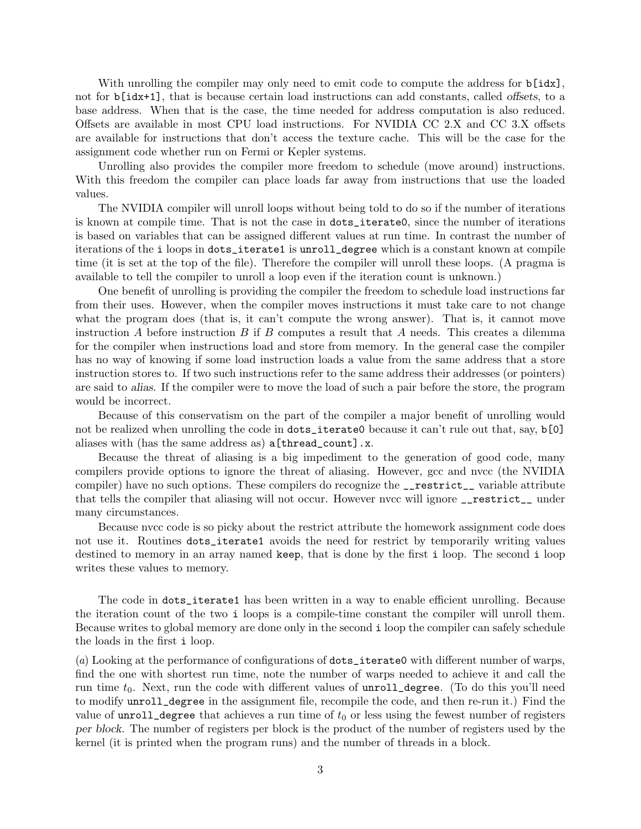With unrolling the compiler may only need to emit code to compute the address for  $\mathbf{b}$ [idx], not for b[idx+1], that is because certain load instructions can add constants, called offsets, to a base address. When that is the case, the time needed for address computation is also reduced. Offsets are available in most CPU load instructions. For NVIDIA CC 2.X and CC 3.X offsets are available for instructions that don't access the texture cache. This will be the case for the assignment code whether run on Fermi or Kepler systems.

Unrolling also provides the compiler more freedom to schedule (move around) instructions. With this freedom the compiler can place loads far away from instructions that use the loaded values.

The NVIDIA compiler will unroll loops without being told to do so if the number of iterations is known at compile time. That is not the case in dots\_iterate0, since the number of iterations is based on variables that can be assigned different values at run time. In contrast the number of iterations of the i loops in dots\_iterate1 is unroll\_degree which is a constant known at compile time (it is set at the top of the file). Therefore the compiler will unroll these loops. (A pragma is available to tell the compiler to unroll a loop even if the iteration count is unknown.)

One benefit of unrolling is providing the compiler the freedom to schedule load instructions far from their uses. However, when the compiler moves instructions it must take care to not change what the program does (that is, it can't compute the wrong answer). That is, it cannot move instruction A before instruction B if B computes a result that A needs. This creates a dilemma for the compiler when instructions load and store from memory. In the general case the compiler has no way of knowing if some load instruction loads a value from the same address that a store instruction stores to. If two such instructions refer to the same address their addresses (or pointers) are said to alias. If the compiler were to move the load of such a pair before the store, the program would be incorrect.

Because of this conservatism on the part of the compiler a major benefit of unrolling would not be realized when unrolling the code in dots\_iterate0 because it can't rule out that, say, b[0] aliases with (has the same address as) a[thread\_count].x.

Because the threat of aliasing is a big impediment to the generation of good code, many compilers provide options to ignore the threat of aliasing. However, gcc and nvcc (the NVIDIA compiler) have no such options. These compilers do recognize the \_\_restrict\_\_ variable attribute that tells the compiler that aliasing will not occur. However nvcc will ignore  $\text{\_}$ restrict\_ under many circumstances.

Because nvcc code is so picky about the restrict attribute the homework assignment code does not use it. Routines dots\_iterate1 avoids the need for restrict by temporarily writing values destined to memory in an array named keep, that is done by the first i loop. The second i loop writes these values to memory.

The code in dots\_iterate1 has been written in a way to enable efficient unrolling. Because the iteration count of the two i loops is a compile-time constant the compiler will unroll them. Because writes to global memory are done only in the second i loop the compiler can safely schedule the loads in the first i loop.

(a) Looking at the performance of configurations of dots\_iterate0 with different number of warps, find the one with shortest run time, note the number of warps needed to achieve it and call the run time  $t_0$ . Next, run the code with different values of  $unroll-degree$ . (To do this you'll need to modify unroll\_degree in the assignment file, recompile the code, and then re-run it.) Find the value of  $unrolldegree$  that achieves a run time of  $t_0$  or less using the fewest number of registers per block. The number of registers per block is the product of the number of registers used by the kernel (it is printed when the program runs) and the number of threads in a block.